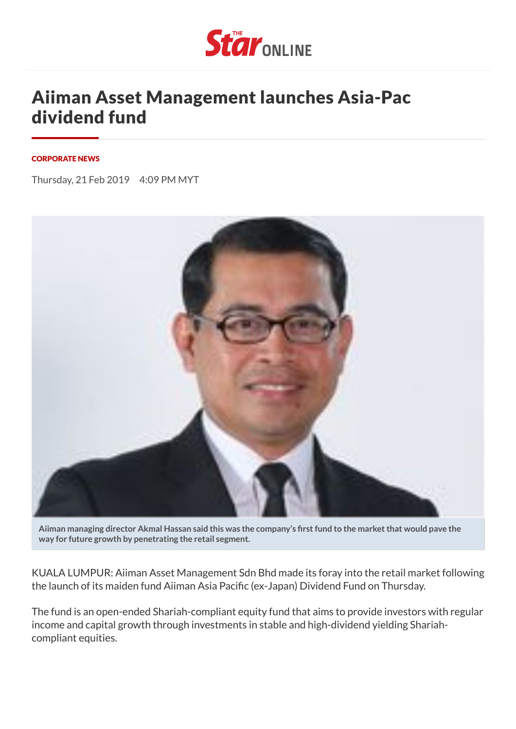

## Aiiman Asset Management launches Asia-Pac dividend fund

## [CORPORATE NEWS](https://www.thestar.com.my/business/tag/?q=%22Corporate+News%22&qkey=%7bF135C39C-E57D-49EE-9BBE-E787C8CA8DAF%7d)

Thursday, 21 Feb 2019 4:09 PM MYT



Aiiman managing director Akmal Hassan said this was the company's first fund to the market that would pave the **way for future growth by penetrating the retail segment.**

KUALA LUMPUR: Aiiman Asset Management Sdn Bhd made its foray into the retail market following the launch of its maiden fund Aiiman Asia Pacific (ex-Japan) Dividend Fund on Thursday.

The fund is an open-ended Shariah-compliant equity fund that aims to provide investors with regular income and capital growth through investments in stable and high-dividend yielding Shariahcompliant equities.